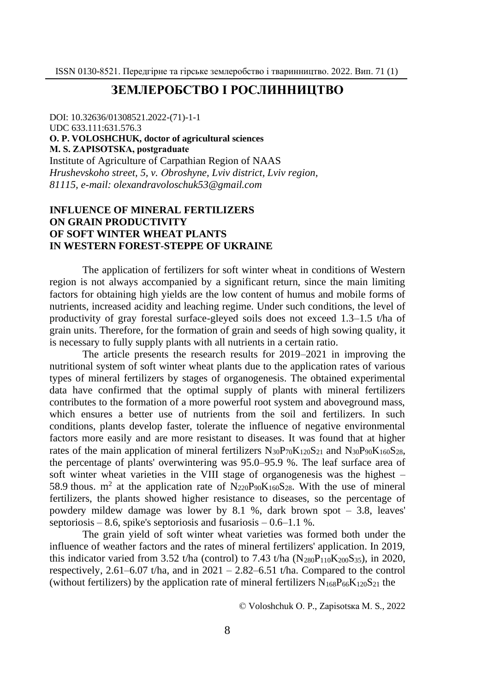# **ЗЕМЛЕРОБСТВО І РОСЛИННИЦТВО**

DOI: 10.32636/01308521.2022-(71)-1-1 UDC 633.111:631.576.3 **О. P. VOLOSHCHUK, doctor of agricultural sciences М. S. ZАPІSОTSКА, postgraduate** Institute of Agriculture of Carpathian Region of NAAS *Hrushevskoho street, 5, v. Оbroshyne, Lviv district, Lviv region, 81115, e-mail: olexandravoloschuk53@gmail.com*

## **INFLUENCE OF MINERAL FERTILIZERS ON GRAIN PRODUCTIVITY OF SOFT WINTER WHEAT PLANTS IN WESTERN FOREST-STEPPE OF UKRAINE**

The application of fertilizers for soft winter wheat in conditions of Western region is not always accompanied by a significant return, since the main limiting factors for obtaining high yields are the low content of humus and mobile forms of nutrients, increased acidity and leaching regime. Under such conditions, the level of productivity of gray forestal surface-gleyed soils does not exceed 1.3–1.5 t/ha of grain units. Therefore, for the formation of grain and seeds of high sowing quality, it is necessary to fully supply plants with all nutrients in a certain ratio.

The article presents the research results for 2019–2021 in improving the nutritional system of soft winter wheat plants due to the application rates of various types of mineral fertilizers by stages of organogenesis. The obtained experimental data have confirmed that the optimal supply of plants with mineral fertilizers contributes to the formation of a more powerful root system and aboveground mass, which ensures a better use of nutrients from the soil and fertilizers. In such conditions, plants develop faster, tolerate the influence of negative environmental factors more easily and are more resistant to diseases. It was found that at higher rates of the main application of mineral fertilizers  $N_{30}P_{70}K_{120}S_{21}$  and  $N_{30}P_{90}K_{160}S_{28}$ , the percentage of plants' overwintering was 95.0–95.9 %. The leaf surface area of soft winter wheat varieties in the VIII stage of organogenesis was the highest – 58.9 thous.  $m^2$  at the application rate of N<sub>220</sub>P<sub>90</sub>K<sub>160</sub>S<sub>28</sub>. With the use of mineral fertilizers, the plants showed higher resistance to diseases, so the percentage of powdery mildew damage was lower by 8.1 %, dark brown spot – 3.8, leaves' septoriosis – 8.6, spike's septoriosis and fusariosis –  $0.6-1.1$  %.

The grain yield of soft winter wheat varieties was formed both under the influence of weather factors and the rates of mineral fertilizers' application. In 2019, this indicator varied from 3.52 t/ha (control) to 7.43 t/ha ( $N_{280}P_{110}K_{200}S_{35}$ ), in 2020, respectively,  $2.61-6.07$  t/ha, and in  $2021 - 2.82-6.51$  t/ha. Compared to the control (without fertilizers) by the application rate of mineral fertilizers  $N_{168}P_{66}K_{120}S_{21}$  the

© Voloshchuk О. P., Zаpіsоtsка М. S., 2022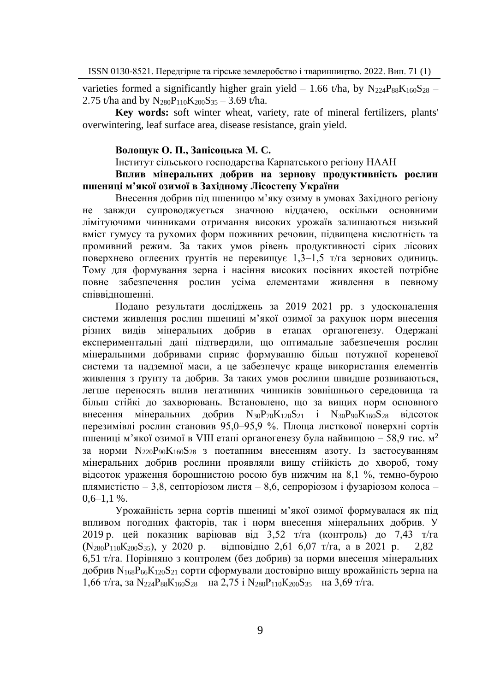varieties formed a significantly higher grain yield – 1.66 t/ha, by  $N_{224}P_{88}K_{160}S_{28}$  – 2.75 t/ha and by  $N_{280}P_{110}K_{200}S_{35} - 3.69$  t/ha.

**Key words:** soft winter wheat, variety, rate of mineral fertilizers, plants' overwintering, leaf surface area, disease resistance, grain yield.

### **Волощук О. П., Запісоцька М. C.**

Інститут сільського господарства Карпатського регіону НААН

### **Вплив мінеральних добрив на зернову продуктивність рослин пшениці м'якої озимої в Західному Лісостепу України**

Внесення добрив під пшеницю м'яку озиму в умовах Західного регіону не завжди супроводжується значною віддачею, оскільки основними лімітуючими чинниками отримання високих урожаїв залишаються низький вміст гумусу та рухомих форм поживних речовин, підвищена кислотність та промивний режим. За таких умов рівень продуктивності сірих лісових поверхнево оглеєних ґрунтів не перевищує 1,3–1,5 т/га зернових одиниць. Тому для формування зерна і насіння високих посівних якостей потрібне повне забезпечення рослин усіма елементами живлення в певному співвідношенні.

Подано результати досліджень за 2019–2021 рр. з удосконалення системи живлення рослин пшениці м'якої озимої за рахунок норм внесення різних видів мінеральних добрив в етапах органогенезу. Одержані експериментальні дані підтвердили, що оптимальне забезпечення рослин мінеральними добривами сприяє формуванню більш потужної кореневої системи та надземної маси, а це забезпечує краще використання елементів живлення з ґрунту та добрив. За таких умов рослини швидше розвиваються, легше переносять вплив негативних чинників зовнішнього середовища та більш стійкі до захворювань. Встановлено, що за вищих норм основного внесення мінеральних добрив  $N_{30}P_{70}K_{120}S_{21}$  і  $N_{30}P_{90}K_{160}S_{28}$  відсоток перезимівлі рослин становив 95,0–95,9 %. Площа листкової поверхні сортів пшениці м'якої озимої в VIII етапі органогенезу була найвищою – 58,9 тис. м<sup>2</sup> за норми  $N_{220}P_{90}K_{160}S_{28}$  з поетапним внесенням азоту. Із застосуванням мінеральних добрив рослини проявляли вищу стійкість до хвороб, тому відсоток ураження борошнистою росою був нижчим на 8,1 %, темно-бурою плямистістю – 3,8, септоріозом листя – 8,6, сепроріозом і фузаріозом колоса –  $0,6-1,1$  %.

Урожайність зерна сортів пшениці м'якої озимої формувалася як під впливом погодних факторів, так і норм внесення мінеральних добрив. У 2019 р. цей показник варіював від 3,52 т/га (контроль) до 7,43 т/га (N280Р110К200S35), у 2020 р. ‒ відповідно 2,61–6,07 т/га, а в 2021 р. – 2,82– 6,51 т/га. Порівняно з контролем (без добрив) за норми внесення мінеральних добрив N168Р66К120S<sup>21</sup> сорти сформували достовірно вищу врожайність зерна на 1,66 т/га, за N<sub>224</sub>P<sub>88</sub>K<sub>160</sub>S<sub>28</sub> – на 2,75 і N<sub>280</sub>P<sub>110</sub>K<sub>200</sub>S<sub>35</sub> – на 3,69 т/га.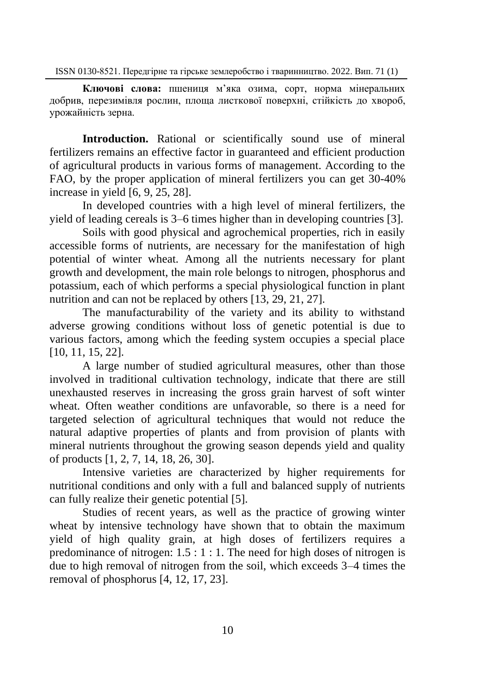**Ключові слова:** пшениця м'яка озима, сорт, норма мінеральних добрив, перезимівля рослин, площа листкової поверхні, стійкість до хвороб, урожайність зерна.

**Introduction.** Rational or scientifically sound use of mineral fertilizers remains an effective factor in guaranteed and efficient production of agricultural products in various forms of management. According to the FAO, by the proper application of mineral fertilizers you can get 30-40% increase in yield [6, 9, 25, 28].

In developed countries with a high level of mineral fertilizers, the yield of leading cereals is 3–6 times higher than in developing countries [3].

Soils with good physical and agrochemical properties, rich in easily accessible forms of nutrients, are necessary for the manifestation of high potential of winter wheat. Among all the nutrients necessary for plant growth and development, the main role belongs to nitrogen, phosphorus and potassium, each of which performs a special physiological function in plant nutrition and can not be replaced by others [13, 29, 21, 27].

The manufacturability of the variety and its ability to withstand adverse growing conditions without loss of genetic potential is due to various factors, among which the feeding system occupies a special place [10, 11, 15, 22].

A large number of studied agricultural measures, other than those involved in traditional cultivation technology, indicate that there are still unexhausted reserves in increasing the gross grain harvest of soft winter wheat. Often weather conditions are unfavorable, so there is a need for targeted selection of agricultural techniques that would not reduce the natural adaptive properties of plants and from provision of plants with mineral nutrients throughout the growing season depends yield and quality of products [1, 2, 7, 14, 18, 26, 30].

Intensive varieties are characterized by higher requirements for nutritional conditions and only with a full and balanced supply of nutrients can fully realize their genetic potential [5].

Studies of recent years, as well as the practice of growing winter wheat by intensive technology have shown that to obtain the maximum yield of high quality grain, at high doses of fertilizers requires a predominance of nitrogen:  $1.5:1:1$ . The need for high doses of nitrogen is due to high removal of nitrogen from the soil, which exceeds  $3-4$  times the removal of phosphorus [4, 12, 17, 23].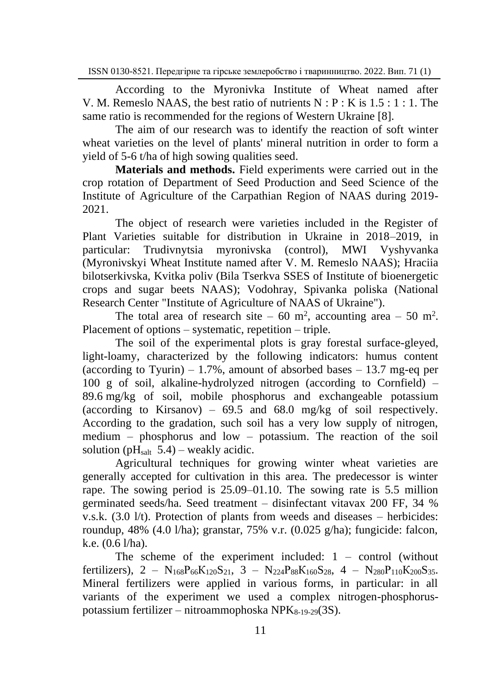According to the Myronivka Institute of Wheat named after V. M. Remeslo NAAS, the best ratio of nutrients  $N : P : K$  is  $1.5 : 1 : 1$ . The same ratio is recommended for the regions of Western Ukraine [8].

The aim of our research was to identify the reaction of soft winter wheat varieties on the level of plants' mineral nutrition in order to form a yield of 5-6 t/ha of high sowing qualities seed.

**Materials and methods.** Field experiments were carried out in the crop rotation of Department of Seed Production and Seed Science of the Institute of Agriculture of the Carpathian Region of NAAS during 2019- 2021.

The object of research were varieties included in the Register of Plant Varieties suitable for distribution in Ukraine in 2018–2019, in particular: Trudivnytsia myronivska (control), MWI Vyshyvanka (Myronivskyi Wheat Institute named after V. M. Remeslo NAAS); Hraciia bilotserkivska, Kvitka poliv (Bila Tserkva SSES of Institute of bioenergetic crops and sugar beets NAAS); Vodohray, Spivanka poliska (National Research Center "Institute of Agriculture of NAAS of Ukraine").

The total area of research site – 60 m<sup>2</sup>, accounting area – 50 m<sup>2</sup>. Placement of options – systematic, repetition – triple.

The soil of the experimental plots is gray forestal surface-gleyed, light-loamy, characterized by the following indicators: humus content (according to Tyurin) – 1.7%, amount of absorbed bases – 13.7 mg-eq per 100 g of soil, alkaline-hydrolyzed nitrogen (according to Cornfield) – 89.6 mg/kg of soil, mobile phosphorus and exchangeable potassium (according to Kirsanov) –  $69.5$  and  $68.0$  mg/kg of soil respectively. According to the gradation, such soil has a very low supply of nitrogen, medium – phosphorus and low – potassium. The reaction of the soil solution ( $pH<sub>salt</sub> 5.4$ ) – weakly acidic.

Agricultural techniques for growing winter wheat varieties are generally accepted for cultivation in this area. The predecessor is winter rape. The sowing period is 25.09–01.10. The sowing rate is 5.5 million germinated seeds/ha. Seed treatment – disinfectant vitavax 200 FF, 34 % v.s.k. (3.0 l/t). Protection of plants from weeds and diseases – herbicides: roundup, 48% (4.0 l/ha); granstar, 75% v.r.  $(0.025 \text{ g/ha})$ ; fungicide: falcon, k.e. (0.6 l/ha).

The scheme of the experiment included: 1 – control (without fertilizers), 2 – N<sub>168</sub>P<sub>66</sub>K<sub>120</sub>S<sub>21</sub>, 3 – N<sub>224</sub>P<sub>88</sub>K<sub>160</sub>S<sub>28</sub>, 4 – N<sub>280</sub>P<sub>110</sub>K<sub>200</sub>S<sub>35</sub>. Mineral fertilizers were applied in various forms, in particular: in all variants of the experiment we used a complex nitrogen-phosphoruspotassium fertilizer – nitroammophoska  $NPK_{8-19-29}(3S)$ .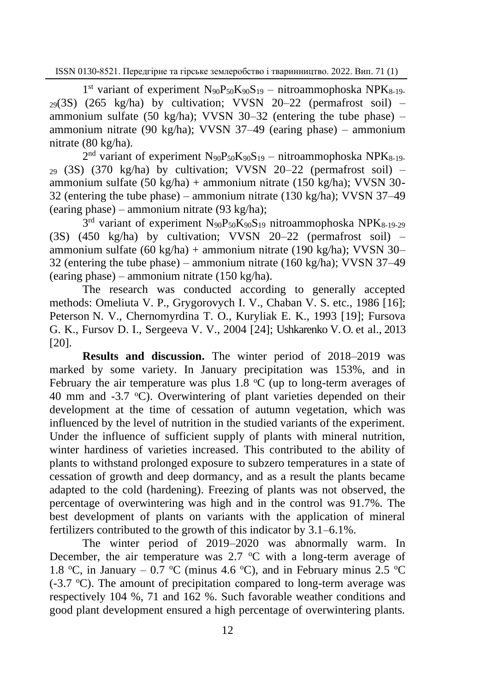1<sup>st</sup> variant of experiment N<sub>90</sub>P<sub>50</sub>K<sub>90</sub>S<sub>19</sub> – nitroammophoska NPK<sub>8-19</sub>.  $29(3S)$  (265 kg/ha) by cultivation; VVSN 20-22 (permafrost soil) – ammonium sulfate (50 kg/ha); VVSN 30-32 (entering the tube phase)  $$ ammonium nitrate (90 kg/ha); VVSN 37–49 (earing phase) – ammonium nitrate (80 kg/ha).

 $2<sup>nd</sup>$  variant of experiment  $N<sub>90</sub>P<sub>50</sub>K<sub>90</sub>S<sub>19</sub> - nitroammophoska NPK<sub>8-19</sub>$  $_{29}$  (3S) (370 kg/ha) by cultivation; VVSN 20-22 (permafrost soil) – ammonium sulfate (50 kg/ha) + ammonium nitrate (150 kg/ha); VVSN 30- 32 (entering the tube phase) – ammonium nitrate (130 kg/ha); VVSN 37–49 (earing phase) – ammonium nitrate (93 kg/ha);

3<sup>rd</sup> variant of experiment N<sub>90</sub>P<sub>50</sub>K<sub>90</sub>S<sub>19</sub> nitroammophoska NPK<sub>8-19-29</sub> (3S) (450 kg/ha) by cultivation; VVSN 20–22 (permafrost soil) – ammonium sulfate  $(60 \text{ kg/ha})$  + ammonium nitrate  $(190 \text{ kg/ha})$ ; VVSN 30– 32 (entering the tube phase) – ammonium nitrate (160 kg/ha); VVSN 37–49 (earing phase) – ammonium nitrate (150 kg/ha).

The research was conducted according to generally accepted methods: Omeliuta V. P., Grygorovych I. V., Chaban V. S. etc., 1986 [16]; Peterson N. V., Chernomyrdina T. O., Kuryliak E. K., 1993 [19]; Fursova G. K., Fursov D. I., Sergeeva V. V., 2004 [24]; Ushkarenko V. O. et al., 2013 [20].

**Results and discussion.** The winter period of 2018–2019 was marked by some variety. In January precipitation was 153%, and in February the air temperature was plus  $1.8 \degree C$  (up to long-term averages of 40 mm and  $-3.7$  °C). Overwintering of plant varieties depended on their development at the time of cessation of autumn vegetation, which was influenced by the level of nutrition in the studied variants of the experiment. Under the influence of sufficient supply of plants with mineral nutrition, winter hardiness of varieties increased. This contributed to the ability of plants to withstand prolonged exposure to subzero temperatures in a state of cessation of growth and deep dormancy, and as a result the plants became adapted to the cold (hardening). Freezing of plants was not observed, the percentage of overwintering was high and in the control was 91.7%. The best development of plants on variants with the application of mineral fertilizers contributed to the growth of this indicator by 3.1‒6.1%.

The winter period of 2019–2020 was abnormally warm. In December, the air temperature was  $2.7 \text{ °C}$  with a long-term average of 1.8 °C, in January – 0.7 °C (minus 4.6 °C), and in February minus 2.5 °C  $(-3.7 \degree C)$ . The amount of precipitation compared to long-term average was respectively 104 %, 71 and 162 %. Such favorable weather conditions and good plant development ensured a high percentage of overwintering plants.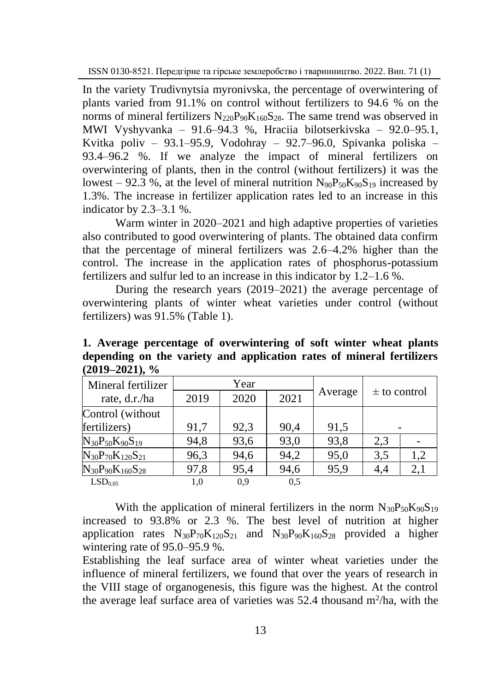In the variety Trudivnytsia myronivska, the percentage of overwintering of plants varied from 91.1% on control without fertilizers to 94.6 % on the norms of mineral fertilizers  $N_{220}P_{90}K_{160}S_{28}$ . The same trend was observed in MWI Vyshyvanka ‒ 91.6‒94.3 %, Hraciia bilotserkivska ‒ 92.0‒95.1, Kvitka poliv – 93.1–95.9, Vodohray – 92.7–96.0, Spivanka poliska – 93.4‒96.2 %. If we analyze the impact of mineral fertilizers on overwintering of plants, then in the control (without fertilizers) it was the lowest – 92.3 %, at the level of mineral nutrition  $N_{90}P_{50}K_{90}S_{19}$  increased by 1.3%. The increase in fertilizer application rates led to an increase in this indicator by 2.3–3.1 %.

Warm winter in 2020–2021 and high adaptive properties of varieties also contributed to good overwintering of plants. The obtained data confirm that the percentage of mineral fertilizers was 2.6–4.2% higher than the control. The increase in the application rates of phosphorus-potassium fertilizers and sulfur led to an increase in this indicator by 1.2–1.6 %.

During the research years (2019–2021) the average percentage of overwintering plants of winter wheat varieties under control (without fertilizers) was 91.5% (Table 1).

| $(2019 - 2021), %$          |      |      |      |         |                  |     |
|-----------------------------|------|------|------|---------|------------------|-----|
| Mineral fertilizer          | Year |      |      |         |                  |     |
| rate, d.r./ha               | 2019 | 2020 | 2021 | Average | $\pm$ to control |     |
| Control (without            |      |      |      |         |                  |     |
| fertilizers)                | 91,7 | 92,3 | 90,4 | 91,5    |                  |     |
| $N_{30}P_{50}K_{90}S_{19}$  | 94,8 | 93,6 | 93,0 | 93,8    | 2.3              |     |
| $N_{30}P_{70}K_{120}S_{21}$ | 96,3 | 94.6 | 94,2 | 95,0    | 3,5              | 1.2 |
| $N_{30}P_{90}K_{160}S_{28}$ | 97,8 | 95.4 | 94,6 | 95,9    | 4,4              | 2.1 |

**1. Average percentage of overwintering of soft winter wheat plants depending on the variety and application rates of mineral fertilizers (2019–2021), %**

 $LSD_{0.05}$  1,0 0,9 0,5

With the application of mineral fertilizers in the norm  $N_{30}P_{50}K_{90}S_{19}$ increased to 93.8% or 2.3 %. The best level of nutrition at higher application rates  $N_{30}P_{70}K_{120}S_{21}$  and  $N_{30}P_{90}K_{160}S_{28}$  provided a higher wintering rate of 95.0–95.9 %.

Establishing the leaf surface area of winter wheat varieties under the influence of mineral fertilizers, we found that over the years of research in the VIII stage of organogenesis, this figure was the highest. At the control the average leaf surface area of varieties was  $52.4$  thousand m<sup>2</sup>/ha, with the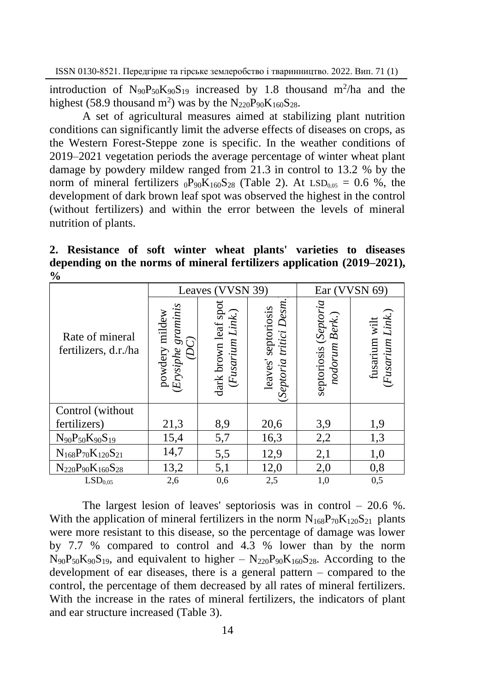introduction of  $N_{90}P_{50}K_{90}S_{19}$  increased by 1.8 thousand m<sup>2</sup>/ha and the highest (58.9 thousand m<sup>2</sup>) was by the  $N_{220}P_{90}K_{160}S_{28}$ .

A set of agricultural measures aimed at stabilizing plant nutrition conditions can significantly limit the adverse effects of diseases on crops, as the Western Forest-Steppe zone is specific. In the weather conditions of 2019–2021 vegetation periods the average percentage of winter wheat plant damage by powdery mildew ranged from 21.3 in control to 13.2 % by the norm of mineral fertilizers  $_0P_{90}K_{160}S_{28}$  (Table 2). At LSD<sub>0.05</sub> = 0.6 %, the development of dark brown leaf spot was observed the highest in the control (without fertilizers) and within the error between the levels of mineral nutrition of plants.

**2. Resistance of soft winter wheat plants' varieties to diseases depending on the norms of mineral fertilizers application (2019–2021), %**

| $\prime\,$                              |                                                 |                                          |                                                          |                                         |                                      |
|-----------------------------------------|-------------------------------------------------|------------------------------------------|----------------------------------------------------------|-----------------------------------------|--------------------------------------|
|                                         |                                                 | Leaves (VVSN 39)                         | Ear (VVSN 69)                                            |                                         |                                      |
| Rate of mineral<br>fertilizers, d.r./ha | graminis<br>powdery mildew<br>(DC)<br>(Erysiphe | dark brown leaf spot<br>(Fusarium Link.) | leaves' septoriosis<br>pptoria tritici Desm.<br>Septoria | septoriosis (Septoria<br>nodorum Berk.) | Link.)<br>fusarium wilt<br>(Fusarium |
| Control (without)                       |                                                 |                                          |                                                          |                                         |                                      |
| fertilizers)                            | 21,3                                            | 8,9                                      | 20,6                                                     | 3,9                                     | 1,9                                  |
| $N_{90}P_{50}K_{90}S_{19}$              | 15,4                                            | 5,7                                      | 16,3                                                     | 2,2                                     | 1,3                                  |
| $N_{168}P_{70}K_{120}S_{21}$            | 14,7                                            | 5,5                                      | 12,9                                                     | 2,1                                     | 1,0                                  |
| $N_{220}P_{90}K_{160}S_{28}$            | 13,2                                            | 5,1                                      | 12,0                                                     | 2,0                                     | 0,8                                  |
| LSD <sub>0.05</sub>                     | 2,6                                             | 0.6                                      | 2,5                                                      | 1,0                                     | 0,5                                  |

The largest lesion of leaves' septoriosis was in control  $-20.6\%$ . With the application of mineral fertilizers in the norm  $N_{168}P_{70}K_{120}S_{21}$  plants were more resistant to this disease, so the percentage of damage was lower by 7.7 % compared to control and 4.3 % lower than by the norm  $N_{90}P_{50}K_{90}S_{19}$ , and equivalent to higher  $- N_{220}P_{90}K_{160}S_{28}$ . According to the development of ear diseases, there is a general pattern  $-$  compared to the control, the percentage of them decreased by all rates of mineral fertilizers. With the increase in the rates of mineral fertilizers, the indicators of plant and ear structure increased (Table 3).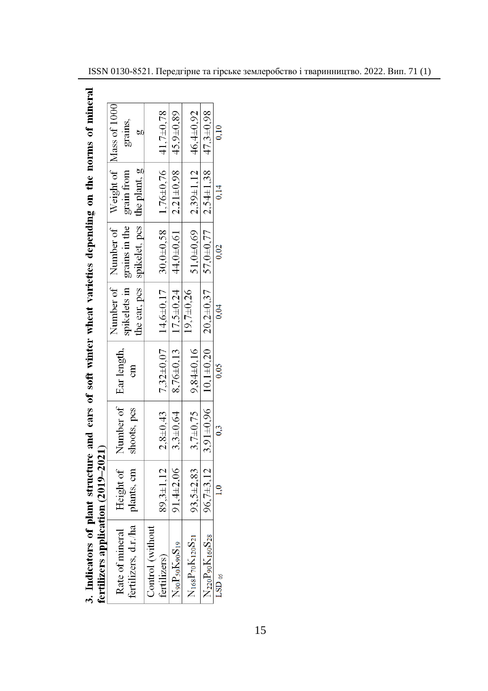| s of nuner-              |        |
|--------------------------|--------|
|                          |        |
| <b>ug on the norn</b>    |        |
|                          |        |
|                          |        |
|                          |        |
|                          |        |
|                          |        |
|                          |        |
| id ears of soft winter v |        |
|                          |        |
|                          |        |
|                          |        |
|                          |        |
| į                        | $\sim$ |
|                          |        |
| ot plant st              |        |
| $\overline{\phantom{a}}$ |        |
|                          |        |
|                          |        |

| grains,                                                                                                                              |                  |                                                                                              | $45,9+0,89$                                   |                                |                                                            | 0.10     |
|--------------------------------------------------------------------------------------------------------------------------------------|------------------|----------------------------------------------------------------------------------------------|-----------------------------------------------|--------------------------------|------------------------------------------------------------|----------|
|                                                                                                                                      |                  | $2,8\pm0,43$   $7,32\pm0,07$   $14,6\pm0,17$   $30,0\pm0,58$   $1,76\pm0,76$   $41,7\pm0,78$ |                                               | $2,39\pm1,12$ 46,4 $\pm0,92$   | $2,54\pm1,38$ $47,3\pm0,98$                                | 0,14     |
| Number of Number of Weight of Mass of 1000<br>the ear, pcs   spikelet, pcs   the plant, g  <br>spikelets in grains in the grain from |                  |                                                                                              | 8,76±0,13   17,5±0,24   44,0±0,61   2,21±0,98 | $51,0+0,69$                    | $3,91\pm0,96$ 10,1 $\pm0,20$ 20,2 $\pm0,37$ 57,0 $\pm0,77$ | 0.02     |
|                                                                                                                                      |                  |                                                                                              |                                               | $9,7+0,26$                     |                                                            | 0.04     |
| ទី                                                                                                                                   |                  |                                                                                              |                                               | $3,7\pm 0,75$   $9,84\pm 0,16$ |                                                            | 0.05     |
| Height of Number of Ear length,<br>shoots, pcs                                                                                       |                  |                                                                                              | $3,3\pm 0,64$                                 |                                |                                                            | 0.3      |
|                                                                                                                                      |                  | $39,3 \pm 1,12$                                                                              | $91,4 \pm 2,06$                               | $93,5+2,83$                    | $96,7\pm3,12$                                              | 1.0      |
| fertilizers, d.r./ha   plants, cm  <br>Rate of mineral                                                                               | Control (without | fertilizers)                                                                                 | $N_{90}P_{50}K_{90}S_{19}$                    | $N_{168}P_{70}K_{120}S_{21}$   | $N_{220}P_{90}K_{160}S_{28}$                               | $LSD$ os |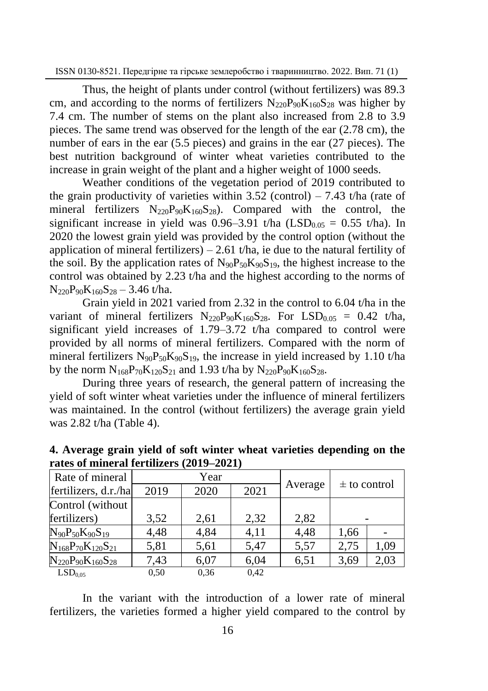Thus, the height of plants under control (without fertilizers) was 89.3 cm, and according to the norms of fertilizers  $N_{220}P_{90}K_{160}S_{28}$  was higher by 7.4 cm. The number of stems on the plant also increased from 2.8 to 3.9 pieces. The same trend was observed for the length of the ear (2.78 cm), the number of ears in the ear (5.5 pieces) and grains in the ear (27 pieces). The best nutrition background of winter wheat varieties contributed to the increase in grain weight of the plant and a higher weight of 1000 seeds.

Weather conditions of the vegetation period of 2019 contributed to the grain productivity of varieties within  $3.52$  (control)  $-7.43$  t/ha (rate of mineral fertilizers  $N_{220}P_{90}K_{160}S_{28}$ . Compared with the control, the significant increase in yield was  $0.96-3.91$  t/ha  $(LSD<sub>0.05</sub> = 0.55$  t/ha). In 2020 the lowest grain yield was provided by the control option (without the application of mineral fertilizers)  $-2.61$  t/ha, ie due to the natural fertility of the soil. By the application rates of  $N_{90}P_{50}K_{90}S_{19}$ , the highest increase to the control was obtained by 2.23 t/ha and the highest according to the norms of  $N_{220}P_{90}K_{160}S_{28} - 3.46$  t/ha.

Grain yield in 2021 varied from 2.32 in the control to 6.04 t/ha in the variant of mineral fertilizers  $N_{220}P_{90}K_{160}S_{28}$ . For LSD<sub>0.05</sub> = 0.42 t/ha, significant yield increases of 1.79–3.72 t/ha compared to control were provided by all norms of mineral fertilizers. Compared with the norm of mineral fertilizers  $N_{90}P_{50}K_{90}S_{19}$ , the increase in yield increased by 1.10 t/ha by the norm  $N_{168}P_{70}K_{120}S_{21}$  and 1.93 t/ha by  $N_{220}P_{90}K_{160}S_{28}$ .

During three years of research, the general pattern of increasing the yield of soft winter wheat varieties under the influence of mineral fertilizers was maintained. In the control (without fertilizers) the average grain yield was 2.82 t/ha (Table 4).

| Rate of mineral              | Year |      |      |         | $\pm$ to control |      |
|------------------------------|------|------|------|---------|------------------|------|
| fertilizers, d.r./ha         | 2019 | 2020 | 2021 | Average |                  |      |
| Control (without             |      |      |      |         |                  |      |
| fertilizers)                 | 3,52 | 2,61 | 2,32 | 2,82    |                  |      |
| $N_{90}P_{50}K_{90}S_{19}$   | 4,48 | 4,84 | 4,11 | 4,48    | 1,66             |      |
| $N_{168}P_{70}K_{120}S_{21}$ | 5,81 | 5,61 | 5,47 | 5,57    | 2,75             | 1,09 |
| $N_{220}P_{90}K_{160}S_{28}$ | 7,43 | 6,07 | 6,04 | 6,51    | 3,69             | 2,03 |
| LSD <sub>0.05</sub>          | 0.50 | 0.36 | 0.42 |         |                  |      |

**4. Average grain yield of soft winter wheat varieties depending on the rates of mineral fertilizers (2019–2021)**

In the variant with the introduction of a lower rate of mineral fertilizers, the varieties formed a higher yield compared to the control by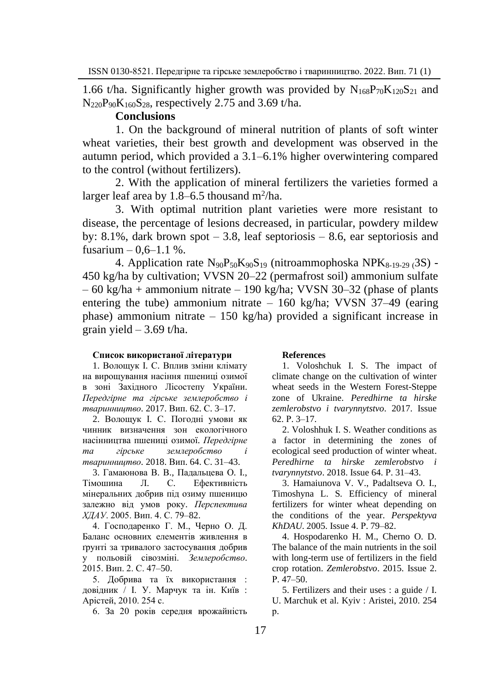1.66 t/ha. Significantly higher growth was provided by  $N_{168}P_{70}K_{120}S_{21}$  and  $N_{220}P_{90}K_{160}S_{28}$ , respectively 2.75 and 3.69 t/ha.

### **Conclusions**

1. On the background of mineral nutrition of plants of soft winter wheat varieties, their best growth and development was observed in the autumn period, which provided a 3.1–6.1% higher overwintering compared to the control (without fertilizers).

2. With the application of mineral fertilizers the varieties formed a larger leaf area by  $1.8-6.5$  thousand m<sup>2</sup>/ha.

3. With optimal nutrition plant varieties were more resistant to disease, the percentage of lesions decreased, in particular, powdery mildew by: 8.1%, dark brown spot  $-3.8$ , leaf septoriosis  $-8.6$ , ear septoriosis and fusarium  $-0.6-1.1$  %.

4. Application rate  $N_{90}P_{50}K_{90}S_{19}$  (nitroammophoska NPK $_{8-19-29}$  (3S) -450 kg/ha by cultivation; VVSN 20–22 (permafrost soil) ammonium sulfate  $-60 \text{ kg/ha} +$  ammonium nitrate  $-190 \text{ kg/ha}$ ; VVSN 30-32 (phase of plants entering the tube) ammonium nitrate  $-160$  kg/ha; VVSN 37-49 (earing phase) ammonium nitrate  $-150 \text{ kg/ha}$  provided a significant increase in grain yield  $-3.69$  t/ha.

#### **Список використаної літератури**

1. Волощук І. С. Вплив зміни клімату на вирощування насіння пшениці озимої в зоні Західного Лісостепу України. *Передгірне та гірське землеробство і тваринництво.* 2017. Вип. 62. С. 3–17.

2. Волощук І. С. Погодні умови як чинник визначення зон екологічного насінництва пшениці озимої. *Передгірне та гірське землеробство і тваринництво.* 2018. Вип. 64. С. 31–43.

3. Гамаюнова В. В., Падальцева О. І., Тімошина Л. С. Ефективність мінеральних добрив під озиму пшеницю залежно від умов року. *Перспектива ХДАУ*. 2005. Вип. 4. С. 79–82.

4. Господаренко Г. М., Черно О. Д. Баланс основних елементів живлення в ґрунті за тривалого застосування добрив у польовій сівозміні. *Землеробство*. 2015. Вип. 2. С. 47–50.

5. Добрива та їх використання : довідник / І. У. Марчук та ін. Київ : Арістей, 2010. 254 с.

6. За 20 років середня врожайність

#### **References**

1. Voloshchuk I. S. The impact of climate change on the cultivation of winter wheat seeds in the Western Forest-Steppe zone of Ukraine. *Peredhirne ta hirske zemlerobstvo i tvarynnytstvo*. 2017. Issue 62. Р. 3–17.

2. Voloshhuk I. S. Weather conditions as a factor in determining the zones of ecological seed production of winter wheat. *Peredhirne ta hirske zemlerobstvo i tvarynnytstvo*. 2018. Issue 64. Р. 31–43.

3. Hamaiunova V. V., Padaltseva O. I., Timoshyna L. S. Efficiency of mineral fertilizers for winter wheat depending on the conditions of the year. *Perspektyva KhDAU*. 2005. Issue 4. Р. 79–82.

4. Hospodarenko H. M., Cherno O. D. The balance of the main nutrients in the soil with long-term use of fertilizers in the field crop rotation. *Zemlerobstvo*. 2015. Issue 2. Р. 47–50.

5. Fertilizers and their uses : a guide / I. U. Marchuk et al. Kyiv : Aristei, 2010. 254 р.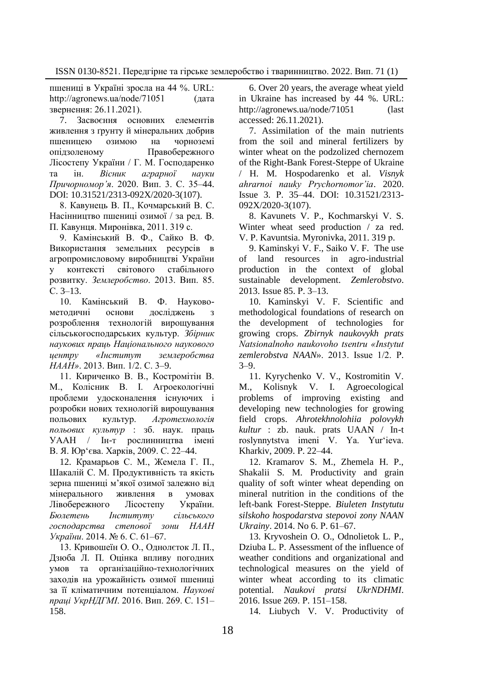пшениці в Україні зросла на 44 %. URL: [http://agronews.ua/node/71051 \(дата](http://agronews.ua/node/71051%20(дата%20звернення:%2026.11.2021).%0d3)  [звернення: 26.11.2021\).](http://agronews.ua/node/71051%20(дата%20звернення:%2026.11.2021).%0d3)

7. Засвоєння основних елементів живлення з ґрунту й мінеральних добрив пшеницею озимою на чорноземі опідзоленому Правобережного Лісостепу України / Г. М. Господаренко та ін. *Вісник аграрної науки Причорномор'я*. 2020. Вип. 3. С. 35–44. DOI: 10.31521/2313-092X/2020-3(107).

8. Кавунець В. П., Кочмарський В. С. Насінництво пшениці озимої / за ред. В. П. Кавунця. Миронівка, 2011. 319 с.

9. Камінський В. Ф., Сайко В. Ф. Використання земельних ресурсів в агропромисловому виробництві України у контексті світового стабільного розвитку. *Землеробство*. 2013. Вип. 85. С. 3–13.

10. Камінський В. Ф. Науковометодичні основи досліджень з розроблення технологій вирощування сільськогосподарських культур. *Збірник наукових праць Національного наукового центру «Інститут землеробства НААН»*. 2013. Вип. 1/2. С. 3–9.

11. Кириченко В. В., Костромітін В. М., Колісник В. І. Агроекологічні проблеми удосконалення існуючих і розробки нових технологій вирощування польових культур. *Агротехнологія польових культур* : зб. наук. праць УААН / Ін-т рослинництва імені В. Я. Юр'єва. Харків, 2009. С. 22–44.

12. Крамарьов С. М., Жемела Г. П., Шакалій С. М. Продуктивність та якість зерна пшениці м'якої озимої залежно від мінерального живлення в умовах Лівобережного Лісостепу України. *Бюлетень Інституту сільського господарства степової зони НААН України*. 2014. № 6. С. 61–67.

13. Кривошеїн О. О., Однолєток Л. П., Дзюба Л. П. Оцінка впливу погодних умов та організаційно-технологічних заходів на урожайність озимої пшениці за її кліматичним потенціалом. *Наукові праці УкрНДГМІ*. 2016. Вип. 269. С. 151– 158.

6. Over 20 years, the average wheat yield in Ukraine has increased by 44 %. URL: http://agronews.ua/node/71051 (last [accessed: 26.11.2021\).](http://agronews.ua/node/71051%20(дата%20звернення:%2026.11.2021).%0d3)

7. Assimilation of the main nutrients from the soil and mineral fertilizers by winter wheat on the podzolized chernozem of the Right-Bank Forest-Steppe of Ukraine / H. M. Hospodarenko et al. *Visnyk ahrarnoi nauky Prychornomor'ia*. 2020. Issue 3. Р. 35–44. DOI: 10.31521/2313- 092X/2020-3(107).

8. Kavunets V. P., Kochmarskyi V. S. Winter wheat seed production / za red. V. P. Kavuntsia. Myronivka, 2011. 319 р.

9. Kaminskyi V. F., Saiko V. F. The use of land resources in agro-industrial production in the context of global sustainable development. *Zemlerobstvo*. 2013. Issue 85. Р. 3–13.

10. Kaminskyi V. F. Scientific and methodological foundations of research on the development of technologies for growing crops. *Zbirnyk naukovykh prats Natsionalnoho naukovoho tsentru «Instytut zemlerobstva NAAN*». 2013. Issue 1/2. Р. 3–9.

11. Kyrychenko V. V., Kostromitin V. M., Kolisnyk V. I. Agroecological problems of improving existing and developing new technologies for growing field crops. *Ahrotekhnolohiia polovykh kultur* : zb. nauk. prats UAAN / In-t roslynnytstva imeni V. Ya. Yur'ieva. Kharkiv, 2009. Р. 22–44.

12. Kramarov S. M., Zhemela H. P., Shakalii S. M. Productivity and grain quality of soft winter wheat depending on mineral nutrition in the conditions of the left-bank Forest-Steppe. *Biuleten Instytutu silskoho hospodarstva stepovoi zony NAAN Ukrainy*. 2014. No 6. Р. 61–67.

13. Kryvoshein O. O., Odnolietok L. P., Dziuba L. P. Assessment of the influence of weather conditions and organizational and technological measures on the yield of winter wheat according to its climatic potential. *Naukovi pratsi UkrNDHMI*. 2016. Issue 269. Р. 151–158.

14. Liubych V. V. Productivity of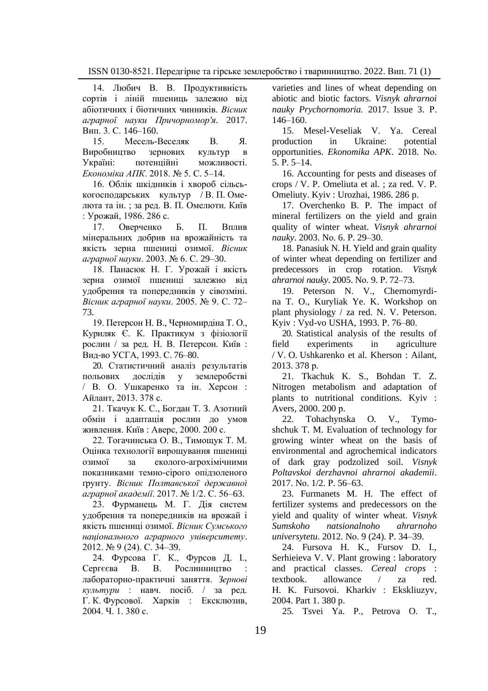14. Любич В. В. Продуктивність сортів і ліній пшениць залежно від абіотичних і біотичних чинників. *Вісник аграрної науки Причорномор'я*. 2017. Вип. 3. С. 146–160.

15. Месель-Веселяк В. Я. Виробництво зернових культур в Україні: потенційні можливості. *Економіка АПК*. 2018. № 5. С. 5–14.

16. Облік шкідників і хвороб сільськогосподарських культур / В. П. Омелюта та ін. ; за ред. В. П. Омелюти. Київ : Урожай, 1986. 286 с.

17. Оверченко Б. П. Вплив мінеральних добрив на врожайність та якість зерна пшениці озимої. *Вісник аграрної науки*. 2003. № 6. С. 29–30.

18. Панасюк Н. Г. Урожай і якість зерна озимої пшениці залежно від удобрення та попередників у сівозміні. *Вісник аграрної науки*. 2005. № 9. С. 72– 73.

19. Петерсон Н. В., Черномирдіна Т. О., Куриляк Є. К. Практикум з фізіології рослин / за ред. Н. В. Петерсон. Київ : Вид-во УСГА, 1993. С. 76–80.

20. Статистичний аналіз результатів польових дослідів у землеробстві / В. О. Ушкаренко та ін. Херсон : Айлант, 2013. 378 с.

21. Ткачук К. С., Богдан Т. З. Азотний обмін і адаптація рослин до умов живлення. Київ : Аверс, 2000. 200 с.

22. Тогачинська О. В., Тимощук Т. М. Оцінка технології вирощування пшениці озимої за еколого-агрохімічними показниками темно-сірого опідзоленого ґрунту. *Вісник Полтавської державної аграрної академії*. 2017. № 1/2. С. 56–63.

23. Фурманець М. Г. Дія систем удобрення та попередників на врожай і якість пшениці озимої. *Вісник Сумського національного аграрного університету*. 2012. № 9 (24). С. 34–39.

24. Фурсова Г. К., Фурсов Д. І., Сергєєва В. В. Рослинництво : лабораторно-практичні заняття. *Зернові культури* : навч. посіб. / за ред. Г. К. Фурсової. Харків : Ексклюзив, 2004. Ч. 1. 380 с.

varieties and lines of wheat depending on abiotic and biotic factors. *Visnyk ahrarnoi nauky Prychornomoria.* 2017. Issue 3. Р. 146–160.

15. Mesel-Veseliak V. Ya. Cereal production in Ukraine: potential opportunities. *Ekonomika APK*. 2018. Nо. 5. Р. 5–14.

16. Accounting for pests and diseases of crops / V. P. Omeliuta et al. ; za red. V. P. Omeliuty. Kyiv : Urozhai, 1986. 286 p.

17. Overchenko B. P. The impact of mineral fertilizers on the yield and grain quality of winter wheat. *Visnyk ahrarnoi nauky*. 2003. Nо. 6. Р. 29–30.

18. Panasiuk N. H. Yield and grain quality of winter wheat depending on fertilizer and predecessors in crop rotation. *Visnyk ahrarnoi nauky*. 2005. Nо. 9. Р. 72–73.

19. Peterson N. V., Chernomyrdina T. O., Kuryliak Ye. K. Workshop on plant physiology / za red. N. V. Peterson. Kyiv : Vyd-vo USHA, 1993. Р. 76–80.

20. Statistical analysis of the results of field experiments in agriculture / V. O. Ushkarenko et al. Kherson : Ailant, 2013. 378 р.

21. Tkachuk K. S., Bohdan T. Z. Nitrogen metabolism and adaptation of plants to nutritional conditions. Kyiv : Avers, 2000. 200 р.

22. Tohachynska O. V., Tymoshchuk T. M. Evaluation of technology for growing winter wheat on the basis of environmental and agrochemical indicators of dark gray podzolized soil. *Visnyk Poltavskoi derzhavnoi ahrarnoi akademii*. 2017. Nо. 1/2. Р. 56–63.

23. Furmanets M. H. The effect of fertilizer systems and predecessors on the yield and quality of winter wheat. *Visnyk Sumskoho natsionalnoho ahrarnoho universytetu.* 2012. Nо. 9 (24). Р. 34–39.

24. Fursova H. K., Fursov D. I., Serhieieva V. V. Plant growing : laboratory and practical classes. *Cereal crops* : textbook. allowance / za red. H. K. Fursovoi. Kharkiv : Ekskliuzyv, 2004. Part 1. 380 p.

25. Tsvei Ya. P., Petrova O. T.,